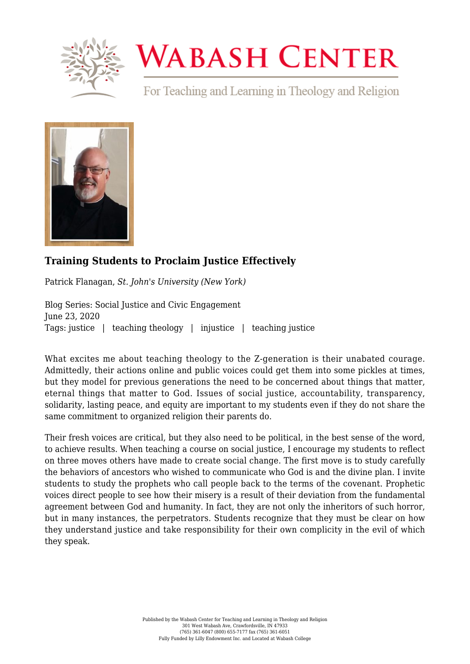

## **WABASH CENTER**

For Teaching and Learning in Theology and Religion



## **[Training Students to Proclaim Justice Effectively](https://www.wabashcenter.wabash.edu/2020/06/training-students-to-proclaim-justice-effectively/)**

Patrick Flanagan, *St. John's University (New York)*

Blog Series: Social Justice and Civic Engagement June 23, 2020 Tags: justice | teaching theology | injustice | teaching justice

What excites me about teaching theology to the Z-generation is their unabated courage. Admittedly, their actions online and public voices could get them into some pickles at times, but they model for previous generations the need to be concerned about things that matter, eternal things that matter to God. Issues of social justice, accountability, transparency, solidarity, lasting peace, and equity are important to my students even if they do not share the same commitment to organized religion their parents do.

Their fresh voices are critical, but they also need to be political, in the best sense of the word, to achieve results. When teaching a course on social justice, I encourage my students to reflect on three moves others have made to create social change. The first move is to study carefully the behaviors of ancestors who wished to communicate who God is and the divine plan. I invite students to study the prophets who call people back to the terms of the covenant. Prophetic voices direct people to see how their misery is a result of their deviation from the fundamental agreement between God and humanity. In fact, they are not only the inheritors of such horror, but in many instances, the perpetrators. Students recognize that they must be clear on how they understand justice and take responsibility for their own complicity in the evil of which they speak.